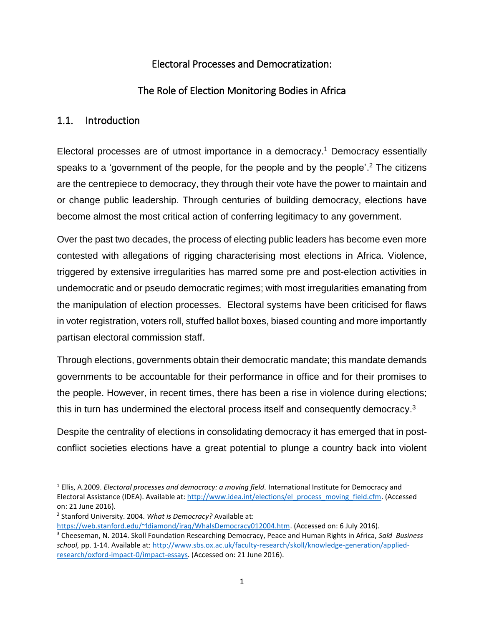# Electoral Processes and Democratization:

# The Role of Election Monitoring Bodies in Africa

#### 1.1. Introduction

Electoral processes are of utmost importance in a democracy. <sup>1</sup> Democracy essentially speaks to a 'government of the people, for the people and by the people'.<sup>2</sup> The citizens are the centrepiece to democracy, they through their vote have the power to maintain and or change public leadership. Through centuries of building democracy, elections have become almost the most critical action of conferring legitimacy to any government.

Over the past two decades, the process of electing public leaders has become even more contested with allegations of rigging characterising most elections in Africa. Violence, triggered by extensive irregularities has marred some pre and post-election activities in undemocratic and or pseudo democratic regimes; with most irregularities emanating from the manipulation of election processes. Electoral systems have been criticised for flaws in voter registration, voters roll, stuffed ballot boxes, biased counting and more importantly partisan electoral commission staff.

Through elections, governments obtain their democratic mandate; this mandate demands governments to be accountable for their performance in office and for their promises to the people. However, in recent times, there has been a rise in violence during elections; this in turn has undermined the electoral process itself and consequently democracy.<sup>3</sup>

Despite the centrality of elections in consolidating democracy it has emerged that in postconflict societies elections have a great potential to plunge a country back into violent

 $\overline{\phantom{a}}$ 

[https://web.stanford.edu/~ldiamond/iraq/WhaIsDemocracy012004.htm.](https://web.stanford.edu/~ldiamond/iraq/WhaIsDemocracy012004.htm) (Accessed on: 6 July 2016).

<sup>1</sup> Ellis, A.2009. *Electoral processes and democracy: a moving field.* International Institute for Democracy and Electoral Assistance (IDEA). Available at: [http://www.idea.int/elections/el\\_process\\_moving\\_field.cfm.](http://www.idea.int/elections/el_process_moving_field.cfm) (Accessed on: 21 June 2016).

<sup>2</sup> Stanford University. 2004. *What is Democracy?* Available at:

<sup>3</sup> Cheeseman, N. 2014. Skoll Foundation Researching Democracy, Peace and Human Rights in Africa, *Saïd Business school,* pp. 1-14. Available at: [http://www.sbs.ox.ac.uk/faculty-research/skoll/knowledge-generation/applied](http://www.sbs.ox.ac.uk/faculty-research/skoll/knowledge-generation/applied-research/oxford-impact-0/impact-essays)[research/oxford-impact-0/impact-essays.](http://www.sbs.ox.ac.uk/faculty-research/skoll/knowledge-generation/applied-research/oxford-impact-0/impact-essays) (Accessed on: 21 June 2016).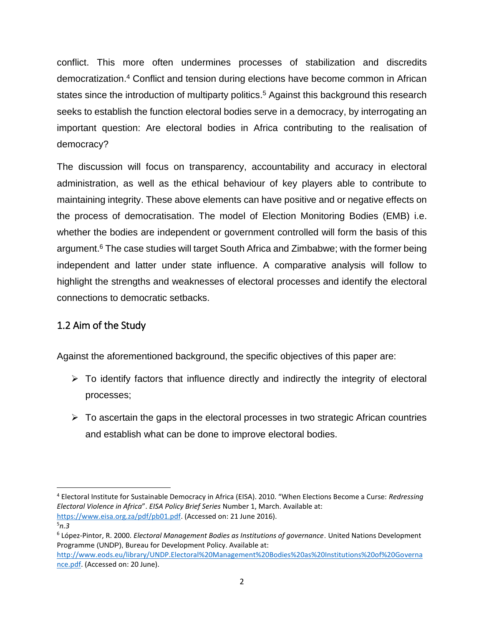conflict. This more often undermines processes of stabilization and discredits democratization. <sup>4</sup> Conflict and tension during elections have become common in African states since the introduction of multiparty politics.<sup>5</sup> Against this background this research seeks to establish the function electoral bodies serve in a democracy, by interrogating an important question: Are electoral bodies in Africa contributing to the realisation of democracy?

The discussion will focus on transparency, accountability and accuracy in electoral administration, as well as the ethical behaviour of key players able to contribute to maintaining integrity. These above elements can have positive and or negative effects on the process of democratisation. The model of Election Monitoring Bodies (EMB) i.e. whether the bodies are independent or government controlled will form the basis of this argument.<sup>6</sup> The case studies will target South Africa and Zimbabwe; with the former being independent and latter under state influence. A comparative analysis will follow to highlight the strengths and weaknesses of electoral processes and identify the electoral connections to democratic setbacks.

# 1.2 Aim of the Study

Against the aforementioned background, the specific objectives of this paper are:

- $\triangleright$  To identify factors that influence directly and indirectly the integrity of electoral processes;
- $\triangleright$  To ascertain the gaps in the electoral processes in two strategic African countries and establish what can be done to improve electoral bodies.

 $\overline{\phantom{a}}$ 

<sup>4</sup> Electoral Institute for Sustainable Democracy in Africa (EISA). 2010. "When Elections Become a Curse: *Redressing Electoral Violence in Africa*". *EISA Policy Brief Series* Number 1, March. Available at: [https://www.eisa.org.za/pdf/pb01.pdf.](https://www.eisa.org.za/pdf/pb01.pdf) (Accessed on: 21 June 2016).

<sup>5</sup>*n.3*

<sup>6</sup> López-Pintor, R. 2000. *Electoral Management Bodies as Institutions of governance*. United Nations Development Programme (UNDP), Bureau for Development Policy. Available at:

[http://www.eods.eu/library/UNDP.Electoral%20Management%20Bodies%20as%20Institutions%20of%20Governa](http://www.eods.eu/library/UNDP.Electoral%20Management%20Bodies%20as%20Institutions%20of%20Governance.pdf) [nce.pdf.](http://www.eods.eu/library/UNDP.Electoral%20Management%20Bodies%20as%20Institutions%20of%20Governance.pdf) (Accessed on: 20 June).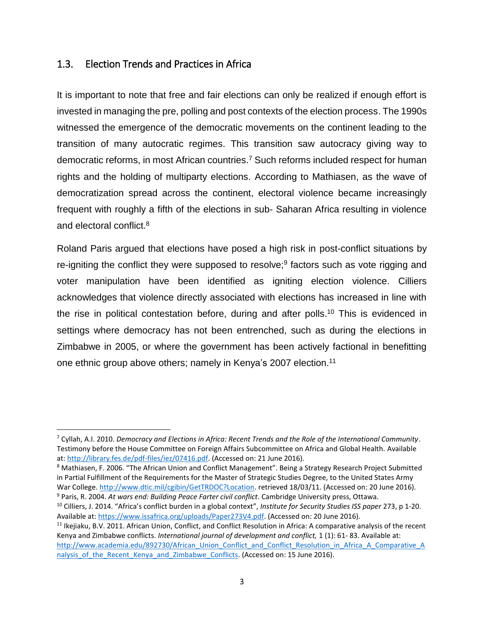#### 1.3. Election Trends and Practices in Africa

 $\overline{\phantom{a}}$ 

It is important to note that free and fair elections can only be realized if enough effort is invested in managing the pre, polling and post contexts of the election process. The 1990s witnessed the emergence of the democratic movements on the continent leading to the transition of many autocratic regimes. This transition saw autocracy giving way to democratic reforms, in most African countries. <sup>7</sup> Such reforms included respect for human rights and the holding of multiparty elections. According to Mathiasen, as the wave of democratization spread across the continent, electoral violence became increasingly frequent with roughly a fifth of the elections in sub- Saharan Africa resulting in violence and electoral conflict.<sup>8</sup>

Roland Paris argued that elections have posed a high risk in post-conflict situations by re-igniting the conflict they were supposed to resolve; 9 factors such as vote rigging and voter manipulation have been identified as igniting election violence. Cilliers acknowledges that violence directly associated with elections has increased in line with the rise in political contestation before, during and after polls.<sup>10</sup> This is evidenced in settings where democracy has not been entrenched, such as during the elections in Zimbabwe in 2005, or where the government has been actively factional in benefitting one ethnic group above others; namely in Kenya's 2007 election.<sup>11</sup>

<sup>7</sup> Cyllah, A.I. 2010. *Democracy and Elections in Africa: Recent Trends and the Role of the International Community*. Testimony before the House Committee on Foreign Affairs Subcommittee on Africa and Global Health. Available at: [http://library.fes.de/pdf-files/iez/07416.pdf.](http://library.fes.de/pdf-files/iez/07416.pdf) (Accessed on: 21 June 2016).

<sup>&</sup>lt;sup>8</sup> Mathiasen, F. 2006. "The African Union and Conflict Management". Being a Strategy Research Project Submitted in Partial Fulfillment of the Requirements for the Master of Strategic Studies Degree, to the United States Army War College. [http://www.dtic.mil/cgibin/GetTRDOC?Location.](http://www.dtic.mil/cgibin/GetTRDOC?Location) retrieved 18/03/11. (Accessed on: 20 June 2016). <sup>9</sup> Paris, R. 2004. *At wars end: Building Peace Farter civil conflict*. Cambridge University press, Ottawa.

<sup>10</sup> Cilliers, J. 2014. "Africa's conflict burden in a global context", *Institute for Security Studies ISS paper* 273, p 1-20. Available at: [https://www.issafrica.org/uploads/Paper273V4.pdf.](https://www.issafrica.org/uploads/Paper273V4.pdf) (Accessed on: 20 June 2016).

 $11$  Ikejiaku, B.V. 2011. African Union, Conflict, and Conflict Resolution in Africa: A comparative analysis of the recent Kenya and Zimbabwe conflicts. *International journal of development and conflict,* 1 (1): 61- 83. Available at: [http://www.academia.edu/892730/African\\_Union\\_Conflict\\_and\\_Conflict\\_Resolution\\_in\\_Africa\\_A\\_Comparative\\_A](http://www.academia.edu/892730/African_Union_Conflict_and_Conflict_Resolution_in_Africa_A_Comparative_Analysis_of_the_Recent_Kenya_and_Zimbabwe_Conflicts) nalysis of the Recent Kenya and Zimbabwe Conflicts. (Accessed on: 15 June 2016).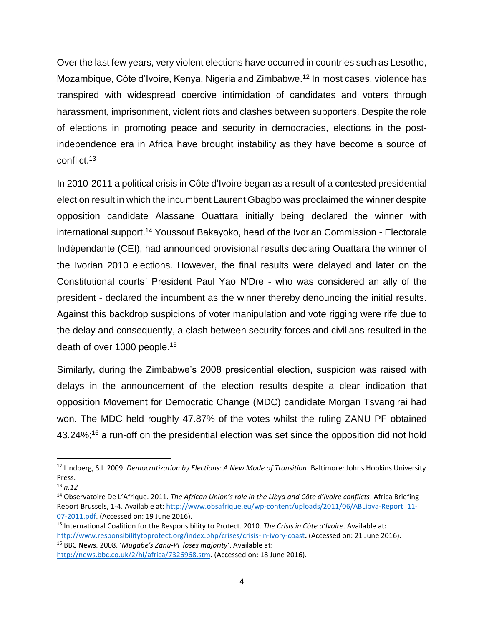Over the last few years, very violent elections have occurred in countries such as Lesotho, Mozambique, Côte d'Ivoire, Kenya, Nigeria and Zimbabwe.<sup>12</sup> In most cases, violence has transpired with widespread coercive intimidation of candidates and voters through harassment, imprisonment, violent riots and clashes between supporters. Despite the role of elections in promoting peace and security in democracies, elections in the postindependence era in Africa have brought instability as they have become a source of conflict. 13

In 2010-2011 a political crisis in Côte d'Ivoire began as a result of a contested presidential election result in which the incumbent Laurent Gbagbo was proclaimed the winner despite opposition candidate Alassane Ouattara initially being declared the winner with international support. <sup>14</sup> Youssouf Bakayoko, head of the Ivorian Commission - Electorale Indépendante (CEI), had announced provisional results declaring Ouattara the winner of the Ivorian 2010 elections. However, the final results were delayed and later on the Constitutional courts` President Paul Yao N'Dre - who was considered an ally of the president - declared the incumbent as the winner thereby denouncing the initial results. Against this backdrop suspicions of voter manipulation and vote rigging were rife due to the delay and consequently, a clash between security forces and civilians resulted in the death of over 1000 people.<sup>15</sup>

Similarly, during the Zimbabwe's 2008 presidential election, suspicion was raised with delays in the announcement of the election results despite a clear indication that opposition Movement for Democratic Change (MDC) candidate Morgan Tsvangirai had won. The MDC held roughly 47.87% of the votes whilst the ruling ZANU PF obtained 43.24%;<sup>16</sup> a run-off on the presidential election was set since the opposition did not hold

 $\overline{a}$ 

<sup>12</sup> Lindberg, S.I. 2009. *Democratization by Elections: A New Mode of Transition*. Baltimore: Johns Hopkins University Press.

<sup>13</sup> *n.12*

<sup>14</sup> Observatoire De L'Afrique. 2011. *The African Union's role in the Libya and Côte d'Ivoire conflicts*. Africa Briefing Report Brussels, 1-4. Available at: [http://www.obsafrique.eu/wp-content/uploads/2011/06/ABLibya-Report\\_11-](http://www.obsafrique.eu/wp-content/uploads/2011/06/ABLibya-Report_11-07-2011.pdf) [07-2011.pdf.](http://www.obsafrique.eu/wp-content/uploads/2011/06/ABLibya-Report_11-07-2011.pdf) (Accessed on: 19 June 2016).

<sup>15</sup> International Coalition for the Responsibility to Protect. 2010. *The Crisis in Côte d'Ivoire*. Available at**:** <http://www.responsibilitytoprotect.org/index.php/crises/crisis-in-ivory-coast>**.** (Accessed on: 21 June 2016). <sup>16</sup> BBC News. 2008. '*Mugabe's Zanu-PF loses majority'*. Available at:

[http://news.bbc.co.uk/2/hi/africa/7326968.stm.](http://news.bbc.co.uk/2/hi/africa/7326968.stm) (Accessed on: 18 June 2016).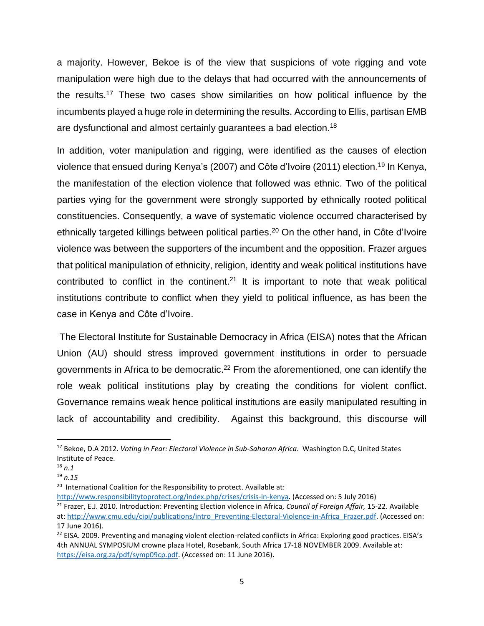a majority. However, Bekoe is of the view that suspicions of vote rigging and vote manipulation were high due to the delays that had occurred with the announcements of the results. <sup>17</sup> These two cases show similarities on how political influence by the incumbents played a huge role in determining the results. According to Ellis, partisan EMB are dysfunctional and almost certainly guarantees a bad election.<sup>18</sup>

In addition, voter manipulation and rigging, were identified as the causes of election violence that ensued during Kenya's (2007) and Côte d'Ivoire (2011) election. <sup>19</sup> In Kenya, the manifestation of the election violence that followed was ethnic. Two of the political parties vying for the government were strongly supported by ethnically rooted political constituencies. Consequently, a wave of systematic violence occurred characterised by ethnically targeted killings between political parties.<sup>20</sup> On the other hand, in Côte d'Ivoire violence was between the supporters of the incumbent and the opposition. Frazer argues that political manipulation of ethnicity, religion, identity and weak political institutions have contributed to conflict in the continent.<sup>21</sup> It is important to note that weak political institutions contribute to conflict when they yield to political influence, as has been the case in Kenya and Côte d'Ivoire.

The Electoral Institute for Sustainable Democracy in Africa (EISA) notes that the African Union (AU) should stress improved government institutions in order to persuade governments in Africa to be democratic.<sup>22</sup> From the aforementioned, one can identify the role weak political institutions play by creating the conditions for violent conflict. Governance remains weak hence political institutions are easily manipulated resulting in lack of accountability and credibility. Against this background, this discourse will

 $\overline{a}$ 

<sup>17</sup> Bekoe, D.A 2012. *Voting in Fear: Electoral Violence in Sub-Saharan Africa*. Washington D.C, United States Institute of Peace.

<sup>18</sup> *n.1*

<sup>19</sup> *n.15*

<sup>&</sup>lt;sup>20</sup> International Coalition for the Responsibility to protect. Available at:

[http://www.responsibilitytoprotect.org/index.php/crises/crisis-in-kenya.](http://www.responsibilitytoprotect.org/index.php/crises/crisis-in-kenya) (Accessed on: 5 July 2016) <sup>21</sup> Frazer, E.J. 2010. Introduction: Preventing Election violence in Africa, *Council of Foreign Affair,* 15-22. Available at: [http://www.cmu.edu/cipi/publications/intro\\_Preventing-Electoral-Violence-in-Africa\\_Frazer.pdf.](http://www.cmu.edu/cipi/publications/intro_Preventing-Electoral-Violence-in-Africa_Frazer.pdf) (Accessed on: 17 June 2016).

<sup>&</sup>lt;sup>22</sup> EISA. 2009. Preventing and managing violent election-related conflicts in Africa: Exploring good practices. EISA's 4th ANNUAL SYMPOSIUM crowne plaza Hotel, Rosebank, South Africa 17-18 NOVEMBER 2009. Available at: [https://eisa.org.za/pdf/symp09cp.pdf.](https://eisa.org.za/pdf/symp09cp.pdf) (Accessed on: 11 June 2016).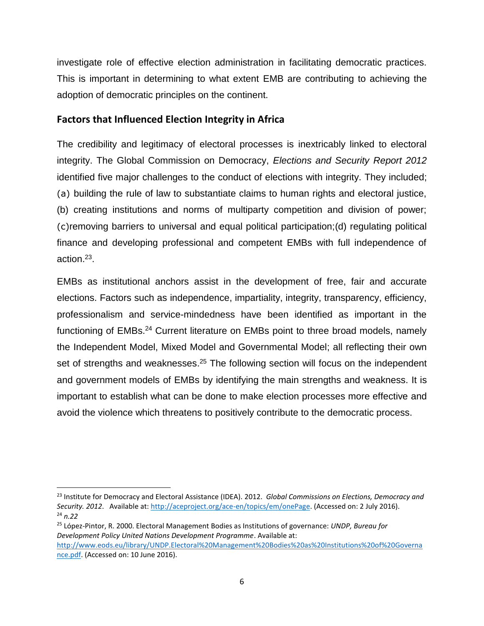investigate role of effective election administration in facilitating democratic practices. This is important in determining to what extent EMB are contributing to achieving the adoption of democratic principles on the continent.

#### **Factors that Influenced Election Integrity in Africa**

The credibility and legitimacy of electoral processes is inextricably linked to electoral integrity. The Global Commission on Democracy, *Elections and Security Report 2012* identified five major challenges to the conduct of elections with integrity. They included; (a) building the rule of law to substantiate claims to human rights and electoral justice, (b) creating institutions and norms of multiparty competition and division of power; (c)removing barriers to universal and equal political participation;(d) regulating political finance and developing professional and competent EMBs with full independence of action. 23 .

EMBs as institutional anchors assist in the development of free, fair and accurate elections. Factors such as independence, impartiality, integrity, transparency, efficiency, professionalism and service-mindedness have been identified as important in the functioning of EMBs.<sup>24</sup> Current literature on EMBs point to three broad models, namely the Independent Model, Mixed Model and Governmental Model; all reflecting their own set of strengths and weaknesses.<sup>25</sup> The following section will focus on the independent and government models of EMBs by identifying the main strengths and weakness. It is important to establish what can be done to make election processes more effective and avoid the violence which threatens to positively contribute to the democratic process.

 $\overline{\phantom{a}}$ 

<sup>23</sup> Institute for Democracy and Electoral Assistance (IDEA). 2012. *Global Commissions on Elections, Democracy and Security. 2012*. Available at: [http://aceproject.org/ace-en/topics/em/onePage.](http://aceproject.org/ace-en/topics/em/onePage) (Accessed on: 2 July 2016). <sup>24</sup> *n.22*

<sup>25</sup> López-Pintor, R. 2000. Electoral Management Bodies as Institutions of governance: *UNDP, Bureau for Development Policy United Nations Development Programme*. Available at:

[http://www.eods.eu/library/UNDP.Electoral%20Management%20Bodies%20as%20Institutions%20of%20Governa](http://www.eods.eu/library/UNDP.Electoral%20Management%20Bodies%20as%20Institutions%20of%20Governance.pdf) [nce.pdf.](http://www.eods.eu/library/UNDP.Electoral%20Management%20Bodies%20as%20Institutions%20of%20Governance.pdf) (Accessed on: 10 June 2016).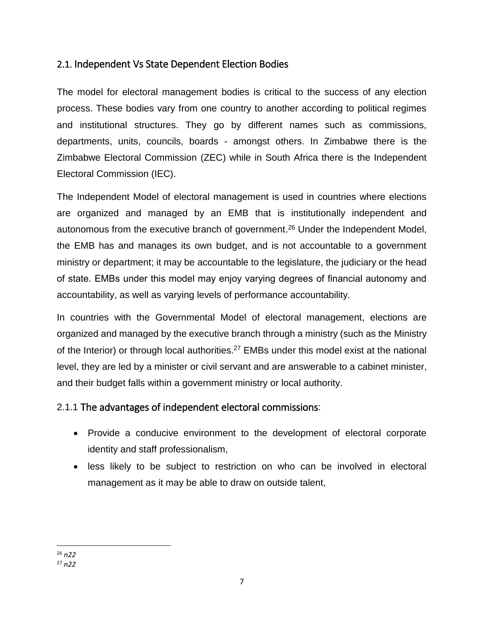## 2.1. Independent Vs State Dependent Election Bodies

The model for electoral management bodies is critical to the success of any election process. These bodies vary from one country to another according to political regimes and institutional structures. They go by different names such as commissions, departments, units, councils, boards - amongst others. In Zimbabwe there is the Zimbabwe Electoral Commission (ZEC) while in South Africa there is the Independent Electoral Commission (IEC).

The Independent Model of electoral management is used in countries where elections are organized and managed by an EMB that is institutionally independent and autonomous from the executive branch of government. <sup>26</sup> Under the Independent Model, the EMB has and manages its own budget, and is not accountable to a government ministry or department; it may be accountable to the legislature, the judiciary or the head of state. EMBs under this model may enjoy varying degrees of financial autonomy and accountability, as well as varying levels of performance accountability.

In countries with the Governmental Model of electoral management, elections are organized and managed by the executive branch through a ministry (such as the Ministry of the Interior) or through local authorities.<sup>27</sup> EMBs under this model exist at the national level, they are led by a minister or civil servant and are answerable to a cabinet minister, and their budget falls within a government ministry or local authority.

### 2.1.1 The advantages of independent electoral commissions:

- Provide a conducive environment to the development of electoral corporate identity and staff professionalism,
- less likely to be subject to restriction on who can be involved in electoral management as it may be able to draw on outside talent,

l <sup>26</sup> *n22* <sup>27</sup> *n22*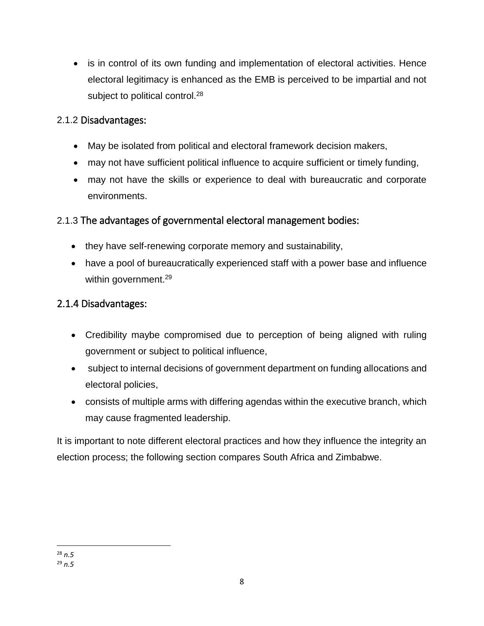• is in control of its own funding and implementation of electoral activities. Hence electoral legitimacy is enhanced as the EMB is perceived to be impartial and not subject to political control.<sup>28</sup>

## 2.1.2 Disadvantages:

- May be isolated from political and electoral framework decision makers,
- may not have sufficient political influence to acquire sufficient or timely funding,
- may not have the skills or experience to deal with bureaucratic and corporate environments.

# 2.1.3 The advantages of governmental electoral management bodies:

- they have self-renewing corporate memory and sustainability,
- have a pool of bureaucratically experienced staff with a power base and influence within government.<sup>29</sup>

## 2.1.4 Disadvantages:

- Credibility maybe compromised due to perception of being aligned with ruling government or subject to political influence,
- subject to internal decisions of government department on funding allocations and electoral policies,
- consists of multiple arms with differing agendas within the executive branch, which may cause fragmented leadership.

It is important to note different electoral practices and how they influence the integrity an election process; the following section compares South Africa and Zimbabwe.

l <sup>28</sup> *n.5* <sup>29</sup> *n.5*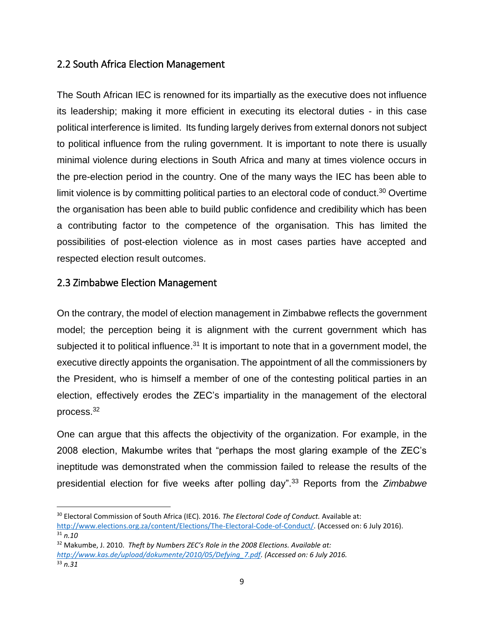### 2.2 South Africa Election Management

The South African IEC is renowned for its impartially as the executive does not influence its leadership; making it more efficient in executing its electoral duties - in this case political interference is limited. Its funding largely derives from external donors not subject to political influence from the ruling government. It is important to note there is usually minimal violence during elections in South Africa and many at times violence occurs in the pre-election period in the country. One of the many ways the IEC has been able to limit violence is by committing political parties to an electoral code of conduct.<sup>30</sup> Overtime the organisation has been able to build public confidence and credibility which has been a contributing factor to the competence of the organisation. This has limited the possibilities of post-election violence as in most cases parties have accepted and respected election result outcomes.

#### 2.3 Zimbabwe Election Management

 $\overline{a}$ 

On the contrary, the model of election management in Zimbabwe reflects the government model; the perception being it is alignment with the current government which has subjected it to political influence.<sup>31</sup> It is important to note that in a government model, the executive directly appoints the organisation. The appointment of all the commissioners by the President, who is himself a member of one of the contesting political parties in an election, effectively erodes the ZEC's impartiality in the management of the electoral process.<sup>32</sup>

One can argue that this affects the objectivity of the organization. For example, in the 2008 election, Makumbe writes that "perhaps the most glaring example of the ZEC's ineptitude was demonstrated when the commission failed to release the results of the presidential election for five weeks after polling day". <sup>33</sup> Reports from the *Zimbabwe* 

<sup>30</sup> Electoral Commission of South Africa (IEC). 2016. *The Electoral Code of Conduct.* Available at: [http://www.elections.org.za/content/Elections/The-Electoral-Code-of-Conduct/.](http://www.elections.org.za/content/Elections/The-Electoral-Code-of-Conduct/) (Accessed on: 6 July 2016). <sup>31</sup> *n.10*

<sup>32</sup> Makumbe, J. 2010. *Theft by Numbers ZEC's Role in the 2008 Elections. Available at: [http://www.kas.de/upload/dokumente/2010/05/Defying\\_7.pdf.](http://www.kas.de/upload/dokumente/2010/05/Defying_7.pdf) (Accessed on: 6 July 2016.* <sup>33</sup> *n.31*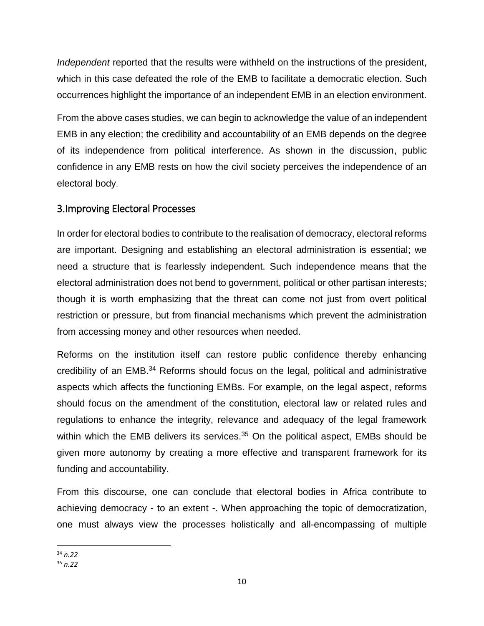*Independent* reported that the results were withheld on the instructions of the president, which in this case defeated the role of the EMB to facilitate a democratic election. Such occurrences highlight the importance of an independent EMB in an election environment.

From the above cases studies, we can begin to acknowledge the value of an independent EMB in any election; the credibility and accountability of an EMB depends on the degree of its independence from political interference. As shown in the discussion, public confidence in any EMB rests on how the civil society perceives the independence of an electoral body.

### 3.Improving Electoral Processes

In order for electoral bodies to contribute to the realisation of democracy, electoral reforms are important. Designing and establishing an electoral administration is essential; we need a structure that is fearlessly independent. Such independence means that the electoral administration does not bend to government, political or other partisan interests; though it is worth emphasizing that the threat can come not just from overt political restriction or pressure, but from financial mechanisms which prevent the administration from accessing money and other resources when needed.

Reforms on the institution itself can restore public confidence thereby enhancing credibility of an EMB. <sup>34</sup> Reforms should focus on the legal, political and administrative aspects which affects the functioning EMBs. For example, on the legal aspect, reforms should focus on the amendment of the constitution, electoral law or related rules and regulations to enhance the integrity, relevance and adequacy of the legal framework within which the EMB delivers its services.<sup>35</sup> On the political aspect, EMBs should be given more autonomy by creating a more effective and transparent framework for its funding and accountability.

From this discourse, one can conclude that electoral bodies in Africa contribute to achieving democracy - to an extent -. When approaching the topic of democratization, one must always view the processes holistically and all-encompassing of multiple